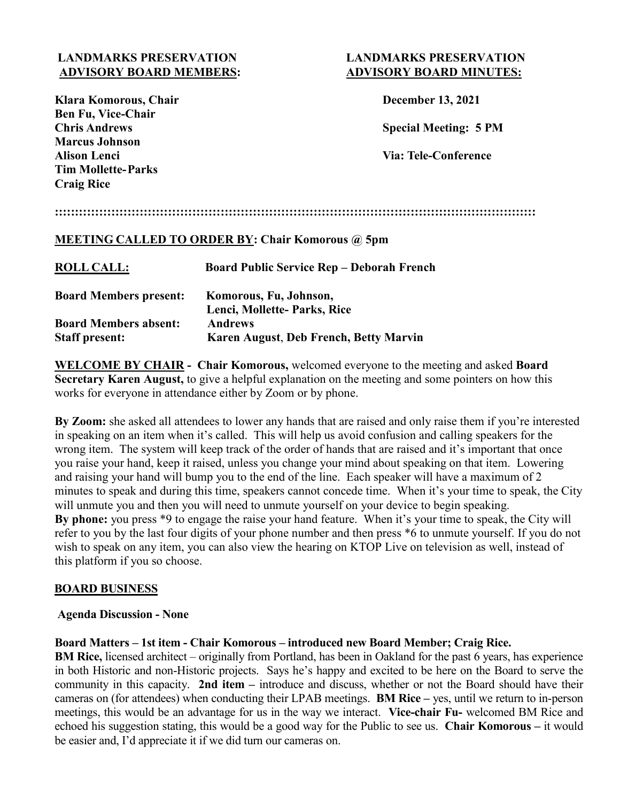# **LANDMARKS PRESERVATION LANDMARKS PRESERVATION ADVISORY BOARD MEMBERS: ADVISORY BOARD MINUTES:**

| Klara Komorous, Chair     |  |
|---------------------------|--|
| <b>Ben Fu, Vice-Chair</b> |  |
| <b>Chris Andrews</b>      |  |
| <b>Marcus Johnson</b>     |  |
| <b>Alison Lenci</b>       |  |
| <b>Tim Mollette-Parks</b> |  |
| <b>Craig Rice</b>         |  |

## **December 13, 2021**

**Chris Andrews Special Meeting: 5 PM**

**Alison Lenci Via: Tele-Conference** 

## **:::::::::::::::::::::::::::::::::::::::::::::::::::::::::::::::::::::::::::::::::::::::::::::::::::::::::::::::::::::::**

## **MEETING CALLED TO ORDER BY: Chair Komorous @ 5pm**

| <b>ROLL CALL:</b>             | <b>Board Public Service Rep - Deborah French</b> |
|-------------------------------|--------------------------------------------------|
| <b>Board Members present:</b> | Komorous, Fu, Johnson,                           |
|                               | Lenci, Mollette- Parks, Rice                     |
| <b>Board Members absent:</b>  | <b>Andrews</b>                                   |
| <b>Staff present:</b>         | Karen August, Deb French, Betty Marvin           |

**WELCOME BY CHAIR - Chair Komorous,** welcomed everyone to the meeting and asked **Board Secretary Karen August,** to give a helpful explanation on the meeting and some pointers on how this works for everyone in attendance either by Zoom or by phone.

**By Zoom:** she asked all attendees to lower any hands that are raised and only raise them if you're interested in speaking on an item when it's called. This will help us avoid confusion and calling speakers for the wrong item. The system will keep track of the order of hands that are raised and it's important that once you raise your hand, keep it raised, unless you change your mind about speaking on that item. Lowering and raising your hand will bump you to the end of the line. Each speaker will have a maximum of 2 minutes to speak and during this time, speakers cannot concede time. When it's your time to speak, the City will unmute you and then you will need to unmute yourself on your device to begin speaking. **By phone:** you press \*9 to engage the raise your hand feature. When it's your time to speak, the City will refer to you by the last four digits of your phone number and then press \*6 to unmute yourself. If you do not wish to speak on any item, you can also view the hearing on KTOP Live on television as well, instead of this platform if you so choose.

#### **BOARD BUSINESS**

#### **Agenda Discussion - None**

#### **Board Matters – 1st item - Chair Komorous – introduced new Board Member; Craig Rice.**

**BM Rice,** licensed architect – originally from Portland, has been in Oakland for the past 6 years, has experience in both Historic and non-Historic projects. Says he's happy and excited to be here on the Board to serve the community in this capacity. **2nd item –** introduce and discuss, whether or not the Board should have their cameras on (for attendees) when conducting their LPAB meetings. **BM Rice –** yes, until we return to in-person meetings, this would be an advantage for us in the way we interact. **Vice-chair Fu-** welcomed BM Rice and echoed his suggestion stating, this would be a good way for the Public to see us. **Chair Komorous –** it would be easier and, I'd appreciate it if we did turn our cameras on.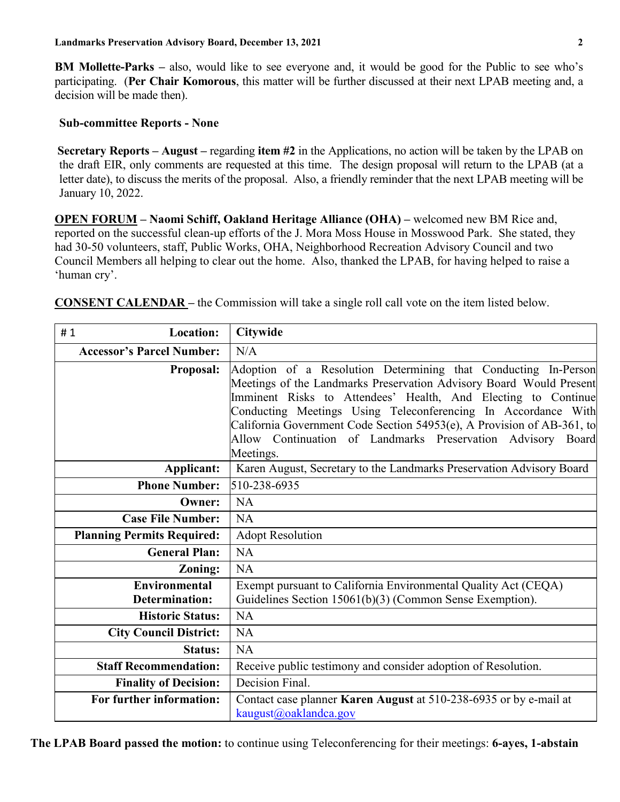**BM Mollette-Parks –** also, would like to see everyone and, it would be good for the Public to see who's participating. (**Per Chair Komorous**, this matter will be further discussed at their next LPAB meeting and, a decision will be made then).

### **Sub-committee Reports - None**

**Secretary Reports – August –** regarding **item #2** in the Applications, no action will be taken by the LPAB on the draft EIR, only comments are requested at this time. The design proposal will return to the LPAB (at a letter date), to discuss the merits of the proposal. Also, a friendly reminder that the next LPAB meeting will be January 10, 2022.

 **OPEN FORUM – Naomi Schiff, Oakland Heritage Alliance (OHA) –** welcomed new BM Rice and, reported on the successful clean-up efforts of the J. Mora Moss House in Mosswood Park. She stated, they had 30-50 volunteers, staff, Public Works, OHA, Neighborhood Recreation Advisory Council and two Council Members all helping to clear out the home. Also, thanked the LPAB, for having helped to raise a 'human cry'.

**CONSENT CALENDAR –** the Commission will take a single roll call vote on the item listed below.

| <b>Location:</b><br>#1                        | <b>Citywide</b>                                                                                                                                                                                                                                                                                                                                                                                                               |
|-----------------------------------------------|-------------------------------------------------------------------------------------------------------------------------------------------------------------------------------------------------------------------------------------------------------------------------------------------------------------------------------------------------------------------------------------------------------------------------------|
| <b>Accessor's Parcel Number:</b>              | N/A                                                                                                                                                                                                                                                                                                                                                                                                                           |
| <b>Proposal:</b>                              | Adoption of a Resolution Determining that Conducting In-Person<br>Meetings of the Landmarks Preservation Advisory Board Would Present<br>Imminent Risks to Attendees' Health, And Electing to Continue<br>Conducting Meetings Using Teleconferencing In Accordance With<br>California Government Code Section 54953(e), A Provision of AB-361, to<br>Allow Continuation of Landmarks Preservation Advisory Board<br>Meetings. |
| Applicant:                                    | Karen August, Secretary to the Landmarks Preservation Advisory Board                                                                                                                                                                                                                                                                                                                                                          |
| <b>Phone Number:</b>                          | 510-238-6935                                                                                                                                                                                                                                                                                                                                                                                                                  |
| Owner:                                        | NA                                                                                                                                                                                                                                                                                                                                                                                                                            |
| <b>Case File Number:</b>                      | NA                                                                                                                                                                                                                                                                                                                                                                                                                            |
| <b>Planning Permits Required:</b>             | <b>Adopt Resolution</b>                                                                                                                                                                                                                                                                                                                                                                                                       |
| <b>General Plan:</b>                          | NA                                                                                                                                                                                                                                                                                                                                                                                                                            |
| Zoning:                                       | <b>NA</b>                                                                                                                                                                                                                                                                                                                                                                                                                     |
| <b>Environmental</b><br><b>Determination:</b> | Exempt pursuant to California Environmental Quality Act (CEQA)<br>Guidelines Section 15061(b)(3) (Common Sense Exemption).                                                                                                                                                                                                                                                                                                    |
| <b>Historic Status:</b>                       | NA                                                                                                                                                                                                                                                                                                                                                                                                                            |
| <b>City Council District:</b>                 | <b>NA</b>                                                                                                                                                                                                                                                                                                                                                                                                                     |
| <b>Status:</b>                                | <b>NA</b>                                                                                                                                                                                                                                                                                                                                                                                                                     |
| <b>Staff Recommendation:</b>                  | Receive public testimony and consider adoption of Resolution.                                                                                                                                                                                                                                                                                                                                                                 |
| <b>Finality of Decision:</b>                  | Decision Final.                                                                                                                                                                                                                                                                                                                                                                                                               |
| For further information:                      | Contact case planner <b>Karen August</b> at 510-238-6935 or by e-mail at<br>kaugust@oaklandca.gov                                                                                                                                                                                                                                                                                                                             |

 **The LPAB Board passed the motion:** to continue using Teleconferencing for their meetings: **6-ayes, 1-abstain**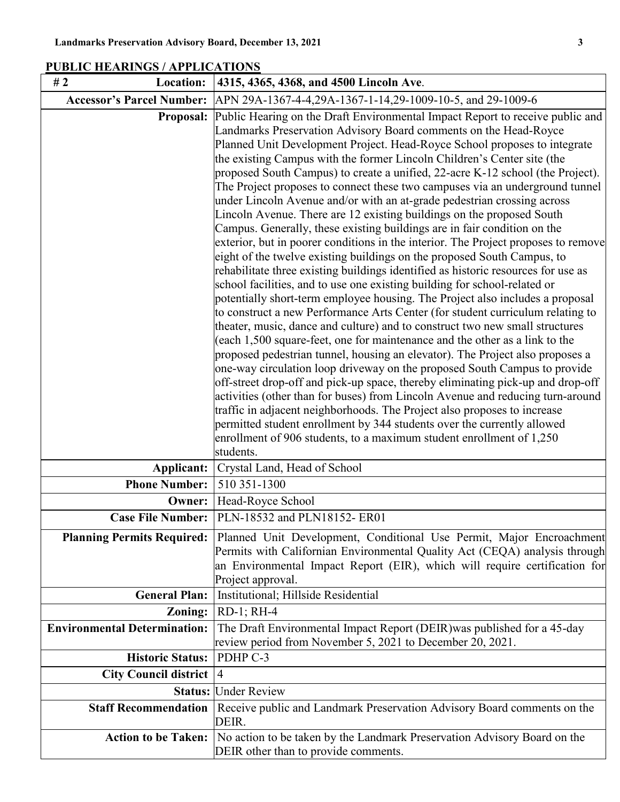| Location:<br>#2                     | 4315, 4365, 4368, and 4500 Lincoln Ave.                                                                                                                                                                                                                                                                                                                                                                                                                                                                                                                                                                                                                                                                                                                                                                                                                                                                                                                                                                                                                                                                                                                                                                                                                                                                                                                                                                                                                                                                                                                                                                                                                                                                                                                                                                                                                                                                                                            |
|-------------------------------------|----------------------------------------------------------------------------------------------------------------------------------------------------------------------------------------------------------------------------------------------------------------------------------------------------------------------------------------------------------------------------------------------------------------------------------------------------------------------------------------------------------------------------------------------------------------------------------------------------------------------------------------------------------------------------------------------------------------------------------------------------------------------------------------------------------------------------------------------------------------------------------------------------------------------------------------------------------------------------------------------------------------------------------------------------------------------------------------------------------------------------------------------------------------------------------------------------------------------------------------------------------------------------------------------------------------------------------------------------------------------------------------------------------------------------------------------------------------------------------------------------------------------------------------------------------------------------------------------------------------------------------------------------------------------------------------------------------------------------------------------------------------------------------------------------------------------------------------------------------------------------------------------------------------------------------------------------|
| <b>Accessor's Parcel Number:</b>    | APN 29A-1367-4-4,29A-1367-1-14,29-1009-10-5, and 29-1009-6                                                                                                                                                                                                                                                                                                                                                                                                                                                                                                                                                                                                                                                                                                                                                                                                                                                                                                                                                                                                                                                                                                                                                                                                                                                                                                                                                                                                                                                                                                                                                                                                                                                                                                                                                                                                                                                                                         |
| Proposal:                           | Public Hearing on the Draft Environmental Impact Report to receive public and<br>Landmarks Preservation Advisory Board comments on the Head-Royce<br>Planned Unit Development Project. Head-Royce School proposes to integrate<br>the existing Campus with the former Lincoln Children's Center site (the<br>proposed South Campus) to create a unified, 22-acre K-12 school (the Project).<br>The Project proposes to connect these two campuses via an underground tunnel<br>under Lincoln Avenue and/or with an at-grade pedestrian crossing across<br>Lincoln Avenue. There are 12 existing buildings on the proposed South<br>Campus. Generally, these existing buildings are in fair condition on the<br>exterior, but in poorer conditions in the interior. The Project proposes to remove<br>eight of the twelve existing buildings on the proposed South Campus, to<br>rehabilitate three existing buildings identified as historic resources for use as<br>school facilities, and to use one existing building for school-related or<br>potentially short-term employee housing. The Project also includes a proposal<br>to construct a new Performance Arts Center (for student curriculum relating to<br>theater, music, dance and culture) and to construct two new small structures<br>(each 1,500 square-feet, one for maintenance and the other as a link to the<br>proposed pedestrian tunnel, housing an elevator). The Project also proposes a<br>one-way circulation loop driveway on the proposed South Campus to provide<br>off-street drop-off and pick-up space, thereby eliminating pick-up and drop-off<br>activities (other than for buses) from Lincoln Avenue and reducing turn-around<br>traffic in adjacent neighborhoods. The Project also proposes to increase<br>permitted student enrollment by 344 students over the currently allowed<br>enrollment of 906 students, to a maximum student enrollment of 1,250 |
|                                     | students.                                                                                                                                                                                                                                                                                                                                                                                                                                                                                                                                                                                                                                                                                                                                                                                                                                                                                                                                                                                                                                                                                                                                                                                                                                                                                                                                                                                                                                                                                                                                                                                                                                                                                                                                                                                                                                                                                                                                          |
| Applicant:<br><b>Phone Number:</b>  | Crystal Land, Head of School<br>510 351-1300                                                                                                                                                                                                                                                                                                                                                                                                                                                                                                                                                                                                                                                                                                                                                                                                                                                                                                                                                                                                                                                                                                                                                                                                                                                                                                                                                                                                                                                                                                                                                                                                                                                                                                                                                                                                                                                                                                       |
| Owner:                              | Head-Royce School                                                                                                                                                                                                                                                                                                                                                                                                                                                                                                                                                                                                                                                                                                                                                                                                                                                                                                                                                                                                                                                                                                                                                                                                                                                                                                                                                                                                                                                                                                                                                                                                                                                                                                                                                                                                                                                                                                                                  |
| <b>Case File Number:</b>            | PLN-18532 and PLN18152-ER01                                                                                                                                                                                                                                                                                                                                                                                                                                                                                                                                                                                                                                                                                                                                                                                                                                                                                                                                                                                                                                                                                                                                                                                                                                                                                                                                                                                                                                                                                                                                                                                                                                                                                                                                                                                                                                                                                                                        |
|                                     |                                                                                                                                                                                                                                                                                                                                                                                                                                                                                                                                                                                                                                                                                                                                                                                                                                                                                                                                                                                                                                                                                                                                                                                                                                                                                                                                                                                                                                                                                                                                                                                                                                                                                                                                                                                                                                                                                                                                                    |
| <b>Planning Permits Required:</b>   | Planned Unit Development, Conditional Use Permit, Major Encroachment<br>Permits with Californian Environmental Quality Act (CEQA) analysis through<br>an Environmental Impact Report (EIR), which will require certification for<br>Project approval.                                                                                                                                                                                                                                                                                                                                                                                                                                                                                                                                                                                                                                                                                                                                                                                                                                                                                                                                                                                                                                                                                                                                                                                                                                                                                                                                                                                                                                                                                                                                                                                                                                                                                              |
| <b>General Plan:</b>                | Institutional; Hillside Residential                                                                                                                                                                                                                                                                                                                                                                                                                                                                                                                                                                                                                                                                                                                                                                                                                                                                                                                                                                                                                                                                                                                                                                                                                                                                                                                                                                                                                                                                                                                                                                                                                                                                                                                                                                                                                                                                                                                |
| Zoning:                             | RD-1; RH-4                                                                                                                                                                                                                                                                                                                                                                                                                                                                                                                                                                                                                                                                                                                                                                                                                                                                                                                                                                                                                                                                                                                                                                                                                                                                                                                                                                                                                                                                                                                                                                                                                                                                                                                                                                                                                                                                                                                                         |
| <b>Environmental Determination:</b> | The Draft Environmental Impact Report (DEIR) was published for a 45-day<br>review period from November 5, 2021 to December 20, 2021.                                                                                                                                                                                                                                                                                                                                                                                                                                                                                                                                                                                                                                                                                                                                                                                                                                                                                                                                                                                                                                                                                                                                                                                                                                                                                                                                                                                                                                                                                                                                                                                                                                                                                                                                                                                                               |
| <b>Historic Status:</b>             | PDHP C-3                                                                                                                                                                                                                                                                                                                                                                                                                                                                                                                                                                                                                                                                                                                                                                                                                                                                                                                                                                                                                                                                                                                                                                                                                                                                                                                                                                                                                                                                                                                                                                                                                                                                                                                                                                                                                                                                                                                                           |
| <b>City Council district</b>        | $\vert 4$                                                                                                                                                                                                                                                                                                                                                                                                                                                                                                                                                                                                                                                                                                                                                                                                                                                                                                                                                                                                                                                                                                                                                                                                                                                                                                                                                                                                                                                                                                                                                                                                                                                                                                                                                                                                                                                                                                                                          |
| Status:                             | <b>Under Review</b>                                                                                                                                                                                                                                                                                                                                                                                                                                                                                                                                                                                                                                                                                                                                                                                                                                                                                                                                                                                                                                                                                                                                                                                                                                                                                                                                                                                                                                                                                                                                                                                                                                                                                                                                                                                                                                                                                                                                |
| <b>Staff Recommendation</b>         | Receive public and Landmark Preservation Advisory Board comments on the<br>DEIR.                                                                                                                                                                                                                                                                                                                                                                                                                                                                                                                                                                                                                                                                                                                                                                                                                                                                                                                                                                                                                                                                                                                                                                                                                                                                                                                                                                                                                                                                                                                                                                                                                                                                                                                                                                                                                                                                   |
| <b>Action to be Taken:</b>          | No action to be taken by the Landmark Preservation Advisory Board on the<br>DEIR other than to provide comments.                                                                                                                                                                                                                                                                                                                                                                                                                                                                                                                                                                                                                                                                                                                                                                                                                                                                                                                                                                                                                                                                                                                                                                                                                                                                                                                                                                                                                                                                                                                                                                                                                                                                                                                                                                                                                                   |

## **PUBLIC HEARINGS / APPLICATIONS**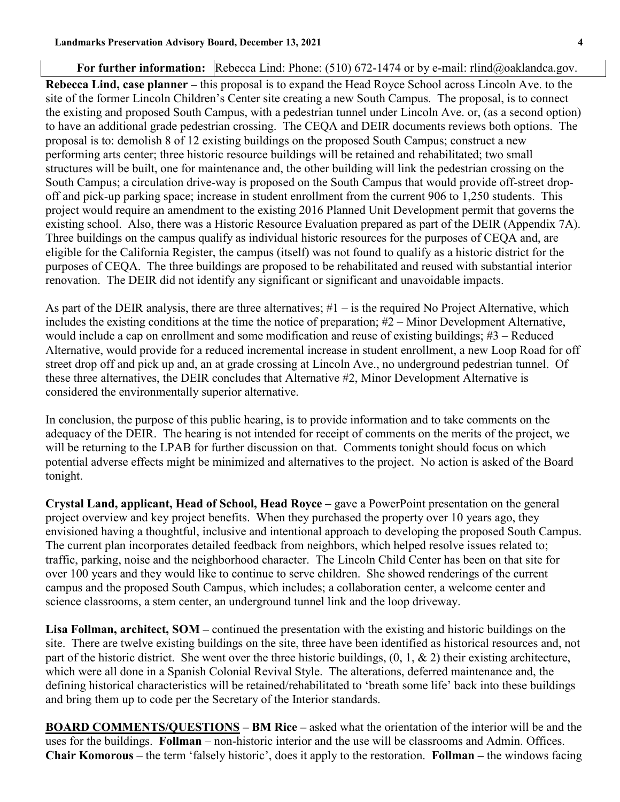#### For further information: Rebecca Lind: Phone: (510) 672-1474 or by e-mail: rlind@oaklandca.gov.

**Rebecca Lind, case planner –** this proposal is to expand the Head Royce School across Lincoln Ave. to the site of the former Lincoln Children's Center site creating a new South Campus. The proposal, is to connect the existing and proposed South Campus, with a pedestrian tunnel under Lincoln Ave. or, (as a second option) to have an additional grade pedestrian crossing. The CEQA and DEIR documents reviews both options. The proposal is to: demolish 8 of 12 existing buildings on the proposed South Campus; construct a new performing arts center; three historic resource buildings will be retained and rehabilitated; two small structures will be built, one for maintenance and, the other building will link the pedestrian crossing on the South Campus; a circulation drive-way is proposed on the South Campus that would provide off-street dropoff and pick-up parking space; increase in student enrollment from the current 906 to 1,250 students. This project would require an amendment to the existing 2016 Planned Unit Development permit that governs the existing school. Also, there was a Historic Resource Evaluation prepared as part of the DEIR (Appendix 7A). Three buildings on the campus qualify as individual historic resources for the purposes of CEQA and, are eligible for the California Register, the campus (itself) was not found to qualify as a historic district for the purposes of CEQA. The three buildings are proposed to be rehabilitated and reused with substantial interior renovation. The DEIR did not identify any significant or significant and unavoidable impacts.

As part of the DEIR analysis, there are three alternatives;  $#1 - is$  the required No Project Alternative, which includes the existing conditions at the time the notice of preparation; #2 – Minor Development Alternative, would include a cap on enrollment and some modification and reuse of existing buildings; #3 – Reduced Alternative, would provide for a reduced incremental increase in student enrollment, a new Loop Road for off street drop off and pick up and, an at grade crossing at Lincoln Ave., no underground pedestrian tunnel. Of these three alternatives, the DEIR concludes that Alternative #2, Minor Development Alternative is considered the environmentally superior alternative.

In conclusion, the purpose of this public hearing, is to provide information and to take comments on the adequacy of the DEIR. The hearing is not intended for receipt of comments on the merits of the project, we will be returning to the LPAB for further discussion on that. Comments tonight should focus on which potential adverse effects might be minimized and alternatives to the project. No action is asked of the Board tonight.

**Crystal Land, applicant, Head of School, Head Royce –** gave a PowerPoint presentation on the general project overview and key project benefits. When they purchased the property over 10 years ago, they envisioned having a thoughtful, inclusive and intentional approach to developing the proposed South Campus. The current plan incorporates detailed feedback from neighbors, which helped resolve issues related to; traffic, parking, noise and the neighborhood character. The Lincoln Child Center has been on that site for over 100 years and they would like to continue to serve children. She showed renderings of the current campus and the proposed South Campus, which includes; a collaboration center, a welcome center and science classrooms, a stem center, an underground tunnel link and the loop driveway.

**Lisa Follman, architect, SOM –** continued the presentation with the existing and historic buildings on the site. There are twelve existing buildings on the site, three have been identified as historical resources and, not part of the historic district. She went over the three historic buildings,  $(0, 1, \& 2)$  their existing architecture, which were all done in a Spanish Colonial Revival Style. The alterations, deferred maintenance and, the defining historical characteristics will be retained/rehabilitated to 'breath some life' back into these buildings and bring them up to code per the Secretary of the Interior standards.

**BOARD COMMENTS/QUESTIONS – BM Rice –** asked what the orientation of the interior will be and the uses for the buildings. **Follman** – non-historic interior and the use will be classrooms and Admin. Offices. **Chair Komorous** – the term 'falsely historic', does it apply to the restoration. **Follman –** the windows facing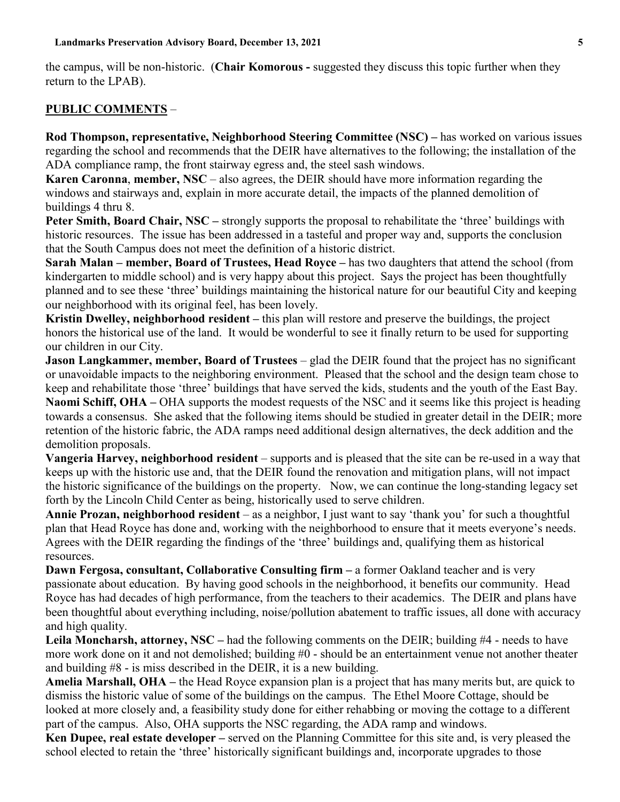the campus, will be non-historic. (**Chair Komorous -** suggested they discuss this topic further when they return to the LPAB).

#### **PUBLIC COMMENTS** –

**Rod Thompson, representative, Neighborhood Steering Committee (NSC) –** has worked on various issues regarding the school and recommends that the DEIR have alternatives to the following; the installation of the ADA compliance ramp, the front stairway egress and, the steel sash windows.

**Karen Caronna**, **member, NSC** – also agrees, the DEIR should have more information regarding the windows and stairways and, explain in more accurate detail, the impacts of the planned demolition of buildings 4 thru 8.

**Peter Smith, Board Chair, NSC** – strongly supports the proposal to rehabilitate the 'three' buildings with historic resources. The issue has been addressed in a tasteful and proper way and, supports the conclusion that the South Campus does not meet the definition of a historic district.

**Sarah Malan – member, Board of Trustees, Head Royce –** has two daughters that attend the school (from kindergarten to middle school) and is very happy about this project. Says the project has been thoughtfully planned and to see these 'three' buildings maintaining the historical nature for our beautiful City and keeping our neighborhood with its original feel, has been lovely.

**Kristin Dwelley, neighborhood resident –** this plan will restore and preserve the buildings, the project honors the historical use of the land. It would be wonderful to see it finally return to be used for supporting our children in our City.

**Jason Langkammer, member, Board of Trustees** – glad the DEIR found that the project has no significant or unavoidable impacts to the neighboring environment. Pleased that the school and the design team chose to keep and rehabilitate those 'three' buildings that have served the kids, students and the youth of the East Bay. **Naomi Schiff, OHA** – OHA supports the modest requests of the NSC and it seems like this project is heading towards a consensus. She asked that the following items should be studied in greater detail in the DEIR; more retention of the historic fabric, the ADA ramps need additional design alternatives, the deck addition and the demolition proposals.

**Vangeria Harvey, neighborhood resident** – supports and is pleased that the site can be re-used in a way that keeps up with the historic use and, that the DEIR found the renovation and mitigation plans, will not impact the historic significance of the buildings on the property. Now, we can continue the long-standing legacy set forth by the Lincoln Child Center as being, historically used to serve children.

Annie Prozan, neighborhood resident - as a neighbor, I just want to say 'thank you' for such a thoughtful plan that Head Royce has done and, working with the neighborhood to ensure that it meets everyone's needs. Agrees with the DEIR regarding the findings of the 'three' buildings and, qualifying them as historical resources.

**Dawn Fergosa, consultant, Collaborative Consulting firm – a former Oakland teacher and is very** passionate about education. By having good schools in the neighborhood, it benefits our community. Head Royce has had decades of high performance, from the teachers to their academics. The DEIR and plans have been thoughtful about everything including, noise/pollution abatement to traffic issues, all done with accuracy and high quality.

**Leila Moncharsh, attorney, NSC –** had the following comments on the DEIR; building #4 - needs to have more work done on it and not demolished; building #0 - should be an entertainment venue not another theater and building #8 - is miss described in the DEIR, it is a new building.

**Amelia Marshall, OHA –** the Head Royce expansion plan is a project that has many merits but, are quick to dismiss the historic value of some of the buildings on the campus. The Ethel Moore Cottage, should be looked at more closely and, a feasibility study done for either rehabbing or moving the cottage to a different part of the campus. Also, OHA supports the NSC regarding, the ADA ramp and windows.

**Ken Dupee, real estate developer –** served on the Planning Committee for this site and, is very pleased the school elected to retain the 'three' historically significant buildings and, incorporate upgrades to those